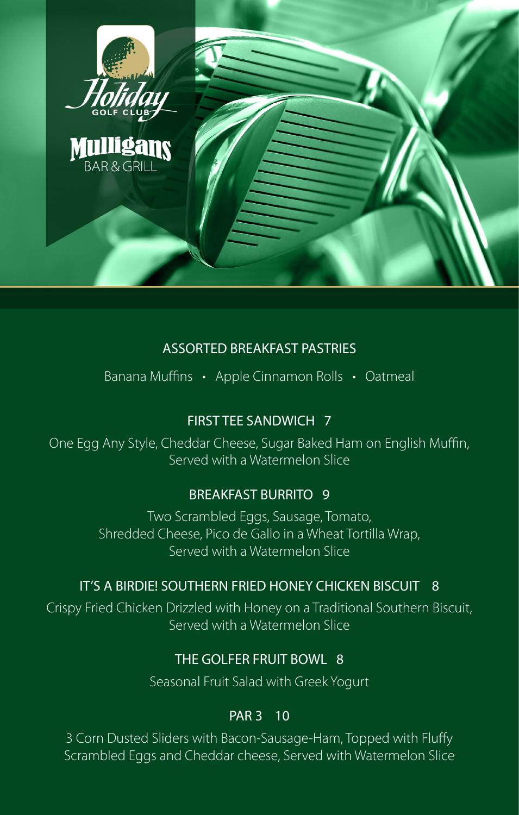

# ASSORTED BREAKFAST PASTRIES

Banana Muffins • Apple Cinnamon Rolls • Oatmeal

# FIRST TEE SANDWICH 7

One Egg Any Style, Cheddar Cheese, Sugar Baked Ham on English Muffin, Served with a Watermelon Slice

# BREAKFAST BURRITO 9

Two Scrambled Eggs, Sausage, Tomato, Shredded Cheese, Pico de Gallo in a Wheat Tortilla Wrap, Served with a Watermelon Slice

# IT'S A BIRDIE! SOUTHERN FRIED HONEY CHICKEN BISCUIT 8

Crispy Fried Chicken Drizzled with Honey on a Traditional Southern Biscuit, Served with a Watermelon Slice

## THE GOLFER FRUIT BOWL 8

Seasonal Fruit Salad with Greek Yogurt

### PAR 3 10

3 Corn Dusted Sliders with Bacon-Sausage-Ham, Topped with Fluffy Scrambled Eggs and Cheddar cheese, Served with Watermelon Slice